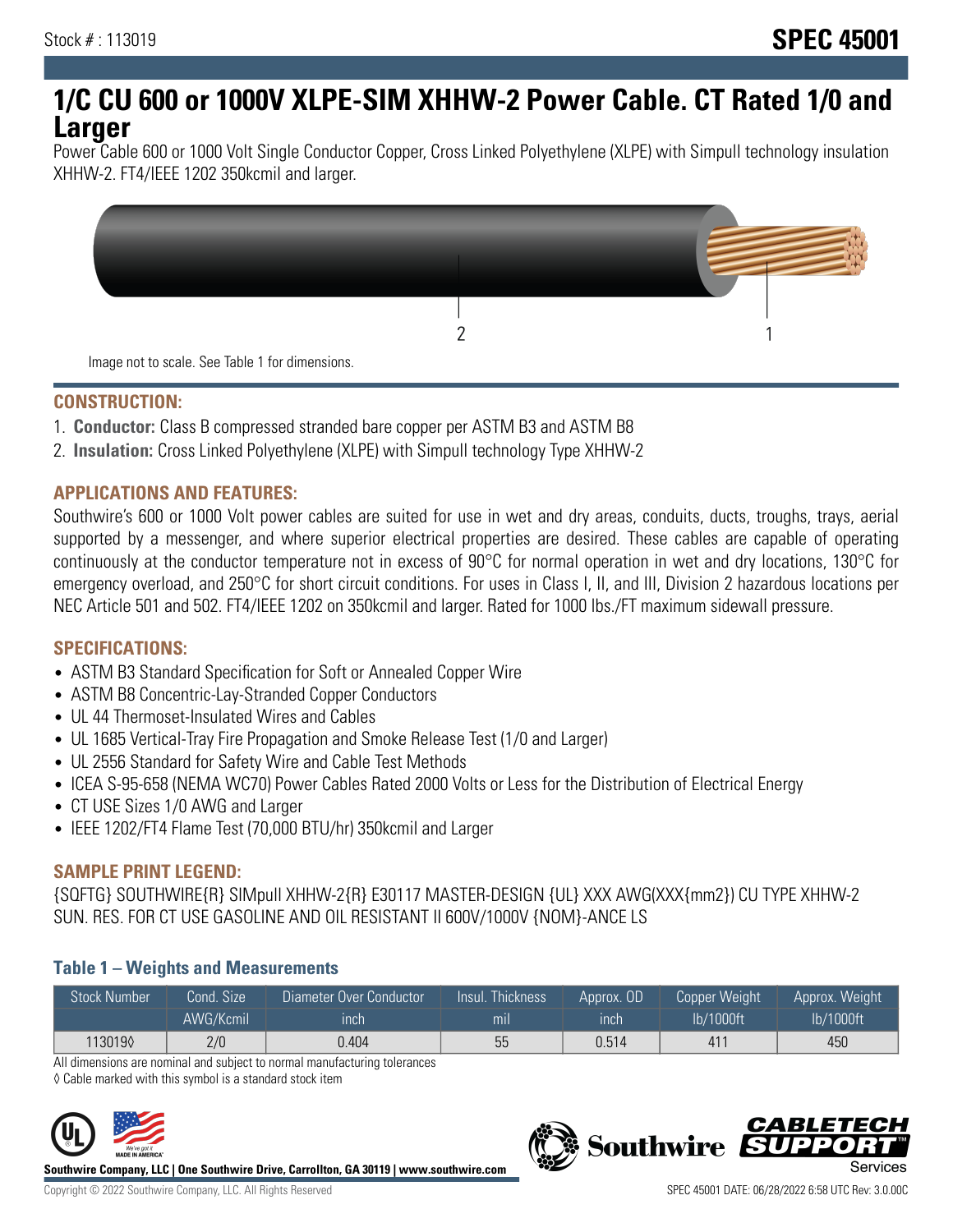# **1/C CU 600 or 1000V XLPE-SIM XHHW-2 Power Cable. CT Rated 1/0 and Larger**

Power Cable 600 or 1000 Volt Single Conductor Copper, Cross Linked Polyethylene (XLPE) with Simpull technology insulation XHHW-2. FT4/IEEE 1202 350kcmil and larger.



#### **CONSTRUCTION:**

- 1. **Conductor:** Class B compressed stranded bare copper per ASTM B3 and ASTM B8
- 2. **Insulation:** Cross Linked Polyethylene (XLPE) with Simpull technology Type XHHW-2

## **APPLICATIONS AND FEATURES:**

Southwire's 600 or 1000 Volt power cables are suited for use in wet and dry areas, conduits, ducts, troughs, trays, aerial supported by a messenger, and where superior electrical properties are desired. These cables are capable of operating continuously at the conductor temperature not in excess of 90°C for normal operation in wet and dry locations, 130°C for emergency overload, and 250°C for short circuit conditions. For uses in Class I, II, and III, Division 2 hazardous locations per NEC Article 501 and 502. FT4/IEEE 1202 on 350kcmil and larger. Rated for 1000 lbs./FT maximum sidewall pressure.

## **SPECIFICATIONS:**

- ASTM B3 Standard Specification for Soft or Annealed Copper Wire
- ASTM B8 Concentric-Lay-Stranded Copper Conductors
- UL 44 Thermoset-Insulated Wires and Cables
- UL 1685 Vertical-Tray Fire Propagation and Smoke Release Test (1/0 and Larger)
- UL 2556 Standard for Safety Wire and Cable Test Methods
- ICEA S-95-658 (NEMA WC70) Power Cables Rated 2000 Volts or Less for the Distribution of Electrical Energy
- CT USE Sizes 1/0 AWG and Larger
- IEEE 1202/FT4 Flame Test (70,000 BTU/hr) 350kcmil and Larger

## **SAMPLE PRINT LEGEND:**

{SQFTG} SOUTHWIRE{R} SIMpull XHHW-2{R} E30117 MASTER-DESIGN {UL} XXX AWG(XXX{mm2}) CU TYPE XHHW-2 SUN. RES. FOR CT USE GASOLINE AND OIL RESISTANT II 600V/1000V {NOM}-ANCE LS

## **Table 1 – Weights and Measurements**

| <b>Stock Number</b> | Cond. Size | Diameter Over Conductor | Insul. Thickness | Approx, OD | Copper Weight | Approx. Weight |
|---------------------|------------|-------------------------|------------------|------------|---------------|----------------|
|                     | AWG/Kcmil  | ınch                    | mıl              | inch       | lb/1000ft     | lb/1000ft      |
| 1130190             | 2/0        | 0.404                   | 55               | 0.514      | 41            | 450            |

All dimensions are nominal and subject to normal manufacturing tolerances

◊ Cable marked with this symbol is a standard stock item



**Southwire Company, LLC | One Southwire Drive, Carrollton, GA 30119 | www.southwire.com**

**Southwire** 

*CABLETE*